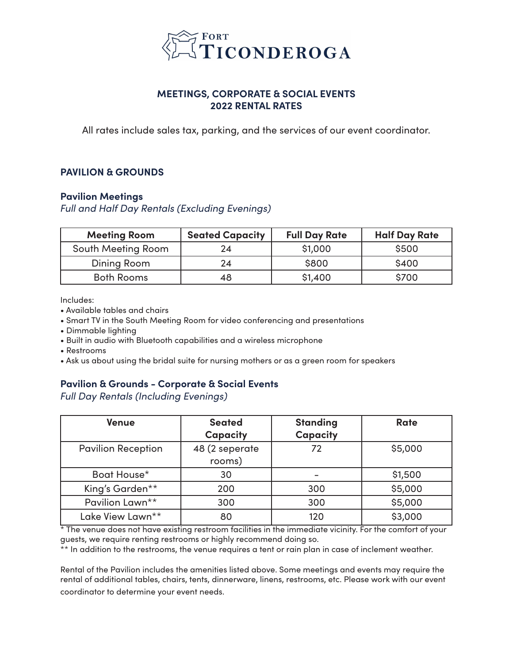

# **MEETINGS, CORPORATE & SOCIAL EVENTS 2022 RENTAL RATES**

All rates include sales tax, parking, and the services of our event coordinator.

# **PAVILION & GROUNDS**

#### **Pavilion Meetings**

*Full and Half Day Rentals (Excluding Evenings)*

| <b>Meeting Room</b> | <b>Seated Capacity</b> | <b>Full Day Rate</b> | <b>Half Day Rate</b> |
|---------------------|------------------------|----------------------|----------------------|
| South Meeting Room  | 24                     | \$1,000              | \$500                |
| Dining Room         | 24                     | \$800                | \$400                |
| <b>Both Rooms</b>   | 48                     | \$1,400              | \$700                |

Includes:

- Available tables and chairs
- Smart TV in the South Meeting Room for video conferencing and presentations
- Dimmable lighting
- Built in audio with Bluetooth capabilities and a wireless microphone
- Restrooms
- Ask us about using the bridal suite for nursing mothers or as a green room for speakers

# **Pavilion & Grounds - Corporate & Social Events**

*Full Day Rentals (Including Evenings)*

| <b>Venue</b>              | <b>Seated</b><br><b>Capacity</b> | <b>Standing</b><br>Capacity | <b>Rate</b> |
|---------------------------|----------------------------------|-----------------------------|-------------|
| <b>Pavilion Reception</b> | 48 (2 seperate<br>rooms)         | 72                          | \$5,000     |
| Boat House*               | 30                               |                             | \$1,500     |
| King's Garden**           | 200                              | 300                         | \$5,000     |
| Pavilion Lawn**           | 300                              | 300                         | \$5,000     |
| Lake View Lawn**          | 80                               | 120                         | \$3,000     |

 $*$  The venue does not have existing restroom facilities in the immediate vicinity. For the comfort of your guests, we require renting restrooms or highly recommend doing so.

\*\* In addition to the restrooms, the venue requires a tent or rain plan in case of inclement weather.

Rental of the Pavilion includes the amenities listed above. Some meetings and events may require the rental of additional tables, chairs, tents, dinnerware, linens, restrooms, etc. Please work with our event coordinator to determine your event needs.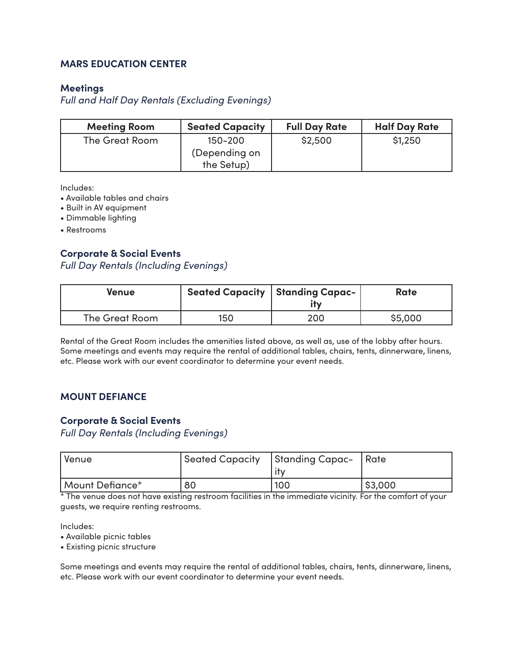### **MARS EDUCATION CENTER**

#### **Meetings**

*Full and Half Day Rentals (Excluding Evenings)*

| <b>Meeting Room</b> | <b>Seated Capacity</b>                 | <b>Full Day Rate</b> | <b>Half Day Rate</b> |
|---------------------|----------------------------------------|----------------------|----------------------|
| The Great Room      | 150–200<br>(Depending on<br>the Setup) | \$2,500              | \$1,250              |

Includes:

- Available tables and chairs
- Built in AV equipment
- Dimmable lighting
- Restrooms

### **Corporate & Social Events**

*Full Day Rentals (Including Evenings)*

| Venue          |     | <b>Seated Capacity   Standing Capac-</b><br>ity | Rate    |
|----------------|-----|-------------------------------------------------|---------|
| The Great Room | 150 | 200                                             | \$5,000 |

Rental of the Great Room includes the amenities listed above, as well as, use of the lobby after hours. Some meetings and events may require the rental of additional tables, chairs, tents, dinnerware, linens, etc. Please work with our event coordinator to determine your event needs.

#### **MOUNT DEFIANCE**

#### **Corporate & Social Events**

*Full Day Rentals (Including Evenings)*

| Venue           |    | Seated Capacity   Standing Capac-   Rate |        |
|-----------------|----|------------------------------------------|--------|
| Mount Defiance* | 80 | 100                                      | 53,000 |

\* The venue does not have existing restroom facilities in the immediate vicinity. For the comfort of your guests, we require renting restrooms.

Includes:

• Available picnic tables

• Existing picnic structure

Some meetings and events may require the rental of additional tables, chairs, tents, dinnerware, linens, etc. Please work with our event coordinator to determine your event needs.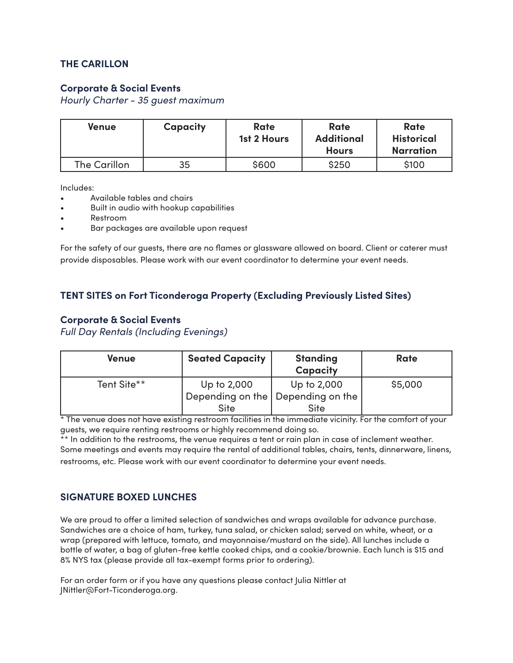# **THE CARILLON**

### **Corporate & Social Events**

*Hourly Charter - 35 guest maximum*

| Venue               | <b>Capacity</b> | Rate<br>1st 2 Hours | Rate<br><b>Additional</b><br><b>Hours</b> | Rate<br><b>Historical</b><br><b>Narration</b> |
|---------------------|-----------------|---------------------|-------------------------------------------|-----------------------------------------------|
| <b>The Carillon</b> | 35              | \$600               | \$250                                     | \$100                                         |

Includes:

- Available tables and chairs
- Built in audio with hookup capabilities
- Restroom
- Bar packages are available upon request

For the safety of our guests, there are no flames or glassware allowed on board. Client or caterer must provide disposables. Please work with our event coordinator to determine your event needs.

# **TENT SITES on Fort Ticonderoga Property (Excluding Previously Listed Sites)**

#### **Corporate & Social Events**

*Full Day Rentals (Including Evenings)*

| Venue       | <b>Seated Capacity</b> | <b>Standing</b><br><b>Capacity</b>  | <b>Rate</b> |
|-------------|------------------------|-------------------------------------|-------------|
| Tent Site** | Up to 2,000            | Up to 2,000                         | \$5,000     |
|             |                        | Depending on the   Depending on the |             |
|             | <b>Site</b>            | <b>Site</b>                         |             |

\* The venue does not have existing restroom facilities in the immediate vicinity. For the comfort of your guests, we require renting restrooms or highly recommend doing so.

\*\* In addition to the restrooms, the venue requires a tent or rain plan in case of inclement weather. Some meetings and events may require the rental of additional tables, chairs, tents, dinnerware, linens, restrooms, etc. Please work with our event coordinator to determine your event needs.

#### **SIGNATURE BOXED LUNCHES**

We are proud to offer a limited selection of sandwiches and wraps available for advance purchase. Sandwiches are a choice of ham, turkey, tuna salad, or chicken salad; served on white, wheat, or a wrap (prepared with lettuce, tomato, and mayonnaise/mustard on the side). All lunches include a bottle of water, a bag of gluten-free kettle cooked chips, and a cookie/brownie. Each lunch is \$15 and 8% NYS tax (please provide all tax-exempt forms prior to ordering).

For an order form or if you have any questions please contact Julia Nittler at JNittler@Fort-Ticonderoga.org.